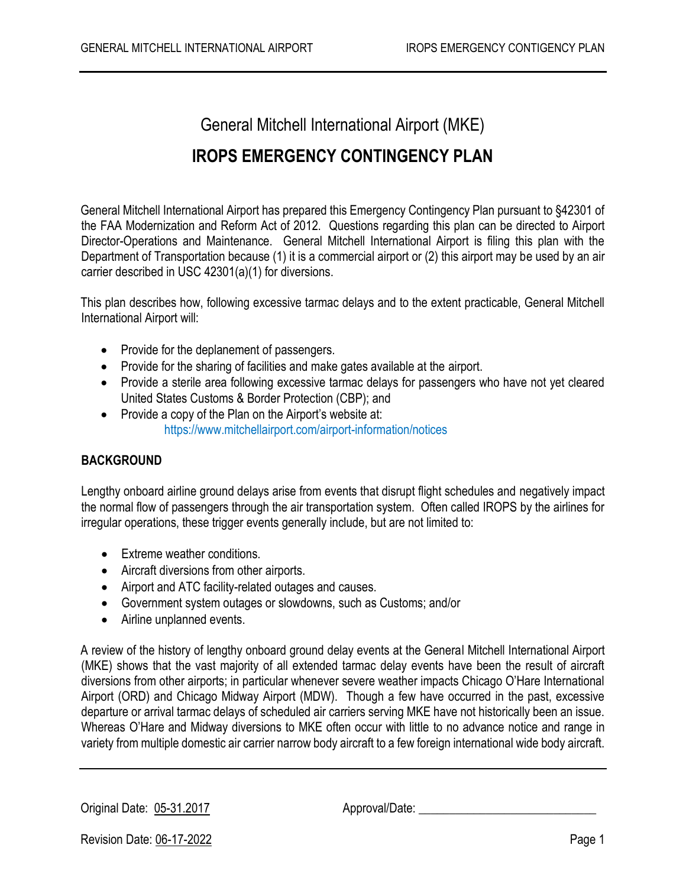General Mitchell International Airport (MKE) **IROPS EMERGENCY CONTINGENCY PLAN**

General Mitchell International Airport has prepared this Emergency Contingency Plan pursuant to §42301 of the FAA Modernization and Reform Act of 2012. Questions regarding this plan can be directed to Airport Director-Operations and Maintenance. General Mitchell International Airport is filing this plan with the Department of Transportation because (1) it is a commercial airport or (2) this airport may be used by an air carrier described in USC 42301(a)(1) for diversions.

This plan describes how, following excessive tarmac delays and to the extent practicable, General Mitchell International Airport will:

- Provide for the deplanement of passengers.
- Provide for the sharing of facilities and make gates available at the airport.
- Provide a sterile area following excessive tarmac delays for passengers who have not yet cleared United States Customs & Border Protection (CBP); and
- Provide a copy of the Plan on the Airport's website at: https://www.mitchellairport.com/airport-information/notices

# **BACKGROUND**

Lengthy onboard airline ground delays arise from events that disrupt flight schedules and negatively impact the normal flow of passengers through the air transportation system. Often called IROPS by the airlines for irregular operations, these trigger events generally include, but are not limited to:

- Extreme weather conditions.
- Aircraft diversions from other airports.
- Airport and ATC facility-related outages and causes.
- Government system outages or slowdowns, such as Customs; and/or
- Airline unplanned events.

A review of the history of lengthy onboard ground delay events at the General Mitchell International Airport (MKE) shows that the vast majority of all extended tarmac delay events have been the result of aircraft diversions from other airports; in particular whenever severe weather impacts Chicago O'Hare International Airport (ORD) and Chicago Midway Airport (MDW). Though a few have occurred in the past, excessive departure or arrival tarmac delays of scheduled air carriers serving MKE have not historically been an issue. Whereas O'Hare and Midway diversions to MKE often occur with little to no advance notice and range in variety from multiple domestic air carrier narrow body aircraft to a few foreign international wide body aircraft.

Original Date: 05-31.2017 Approval/Date: \_\_\_\_\_\_\_\_\_\_\_\_\_\_\_\_\_\_\_\_\_\_\_\_\_\_\_\_\_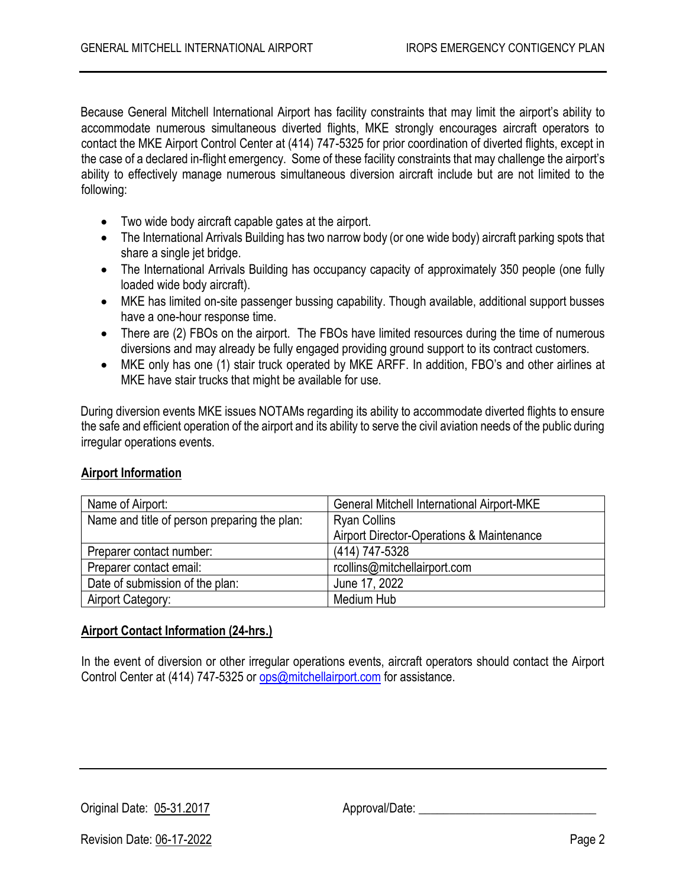Because General Mitchell International Airport has facility constraints that may limit the airport's ability to accommodate numerous simultaneous diverted flights, MKE strongly encourages aircraft operators to contact the MKE Airport Control Center at (414) 747-5325 for prior coordination of diverted flights, except in the case of a declared in-flight emergency. Some of these facility constraints that may challenge the airport's ability to effectively manage numerous simultaneous diversion aircraft include but are not limited to the following:

- Two wide body aircraft capable gates at the airport.
- The International Arrivals Building has two narrow body (or one wide body) aircraft parking spots that share a single jet bridge.
- The International Arrivals Building has occupancy capacity of approximately 350 people (one fully loaded wide body aircraft).
- MKE has limited on-site passenger bussing capability. Though available, additional support busses have a one-hour response time.
- There are (2) FBOs on the airport. The FBOs have limited resources during the time of numerous diversions and may already be fully engaged providing ground support to its contract customers.
- MKE only has one (1) stair truck operated by MKE ARFF. In addition, FBO's and other airlines at MKE have stair trucks that might be available for use.

During diversion events MKE issues NOTAMs regarding its ability to accommodate diverted flights to ensure the safe and efficient operation of the airport and its ability to serve the civil aviation needs of the public during irregular operations events.

## **Airport Information**

| Name of Airport:                             | <b>General Mitchell International Airport-MKE</b>    |
|----------------------------------------------|------------------------------------------------------|
| Name and title of person preparing the plan: | <b>Ryan Collins</b>                                  |
|                                              | <b>Airport Director-Operations &amp; Maintenance</b> |
| Preparer contact number:                     | (414) 747-5328                                       |
| Preparer contact email:                      | rcollins@mitchellairport.com                         |
| Date of submission of the plan:              | June 17, 2022                                        |
| Airport Category:                            | Medium Hub                                           |

#### **Airport Contact Information (24-hrs.)**

In the event of diversion or other irregular operations events, aircraft operators should contact the Airport Control Center at (414) 747-5325 or [ops@mitchellairport.com](mailto:ops@mitchellairport.com) for assistance.

Original Date: 05-31.2017 Approval/Date: \_\_\_\_\_\_\_\_\_\_\_\_\_\_\_\_\_\_\_\_\_\_\_\_\_\_\_\_\_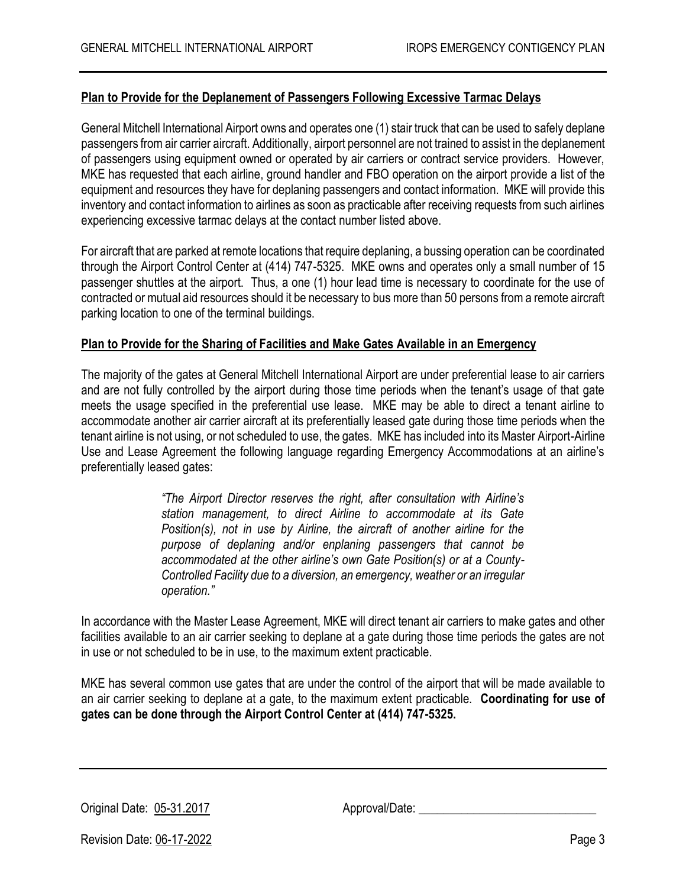## **Plan to Provide for the Deplanement of Passengers Following Excessive Tarmac Delays**

General Mitchell International Airport owns and operates one (1) stair truck that can be used to safely deplane passengers from air carrier aircraft. Additionally, airport personnel are not trained to assist in the deplanement of passengers using equipment owned or operated by air carriers or contract service providers. However, MKE has requested that each airline, ground handler and FBO operation on the airport provide a list of the equipment and resources they have for deplaning passengers and contact information. MKE will provide this inventory and contact information to airlines as soon as practicable after receiving requests from such airlines experiencing excessive tarmac delays at the contact number listed above.

For aircraft that are parked at remote locations that require deplaning, a bussing operation can be coordinated through the Airport Control Center at (414) 747-5325. MKE owns and operates only a small number of 15 passenger shuttles at the airport. Thus, a one (1) hour lead time is necessary to coordinate for the use of contracted or mutual aid resources should it be necessary to bus more than 50 persons from a remote aircraft parking location to one of the terminal buildings.

#### **Plan to Provide for the Sharing of Facilities and Make Gates Available in an Emergency**

The majority of the gates at General Mitchell International Airport are under preferential lease to air carriers and are not fully controlled by the airport during those time periods when the tenant's usage of that gate meets the usage specified in the preferential use lease. MKE may be able to direct a tenant airline to accommodate another air carrier aircraft at its preferentially leased gate during those time periods when the tenant airline is not using, or not scheduled to use, the gates. MKE has included into its Master Airport-Airline Use and Lease Agreement the following language regarding Emergency Accommodations at an airline's preferentially leased gates:

> *"The Airport Director reserves the right, after consultation with Airline's station management, to direct Airline to accommodate at its Gate Position(s), not in use by Airline, the aircraft of another airline for the purpose of deplaning and/or enplaning passengers that cannot be accommodated at the other airline's own Gate Position(s) or at a County-Controlled Facility due to a diversion, an emergency, weather or an irregular operation."*

In accordance with the Master Lease Agreement, MKE will direct tenant air carriers to make gates and other facilities available to an air carrier seeking to deplane at a gate during those time periods the gates are not in use or not scheduled to be in use, to the maximum extent practicable.

MKE has several common use gates that are under the control of the airport that will be made available to an air carrier seeking to deplane at a gate, to the maximum extent practicable. **Coordinating for use of gates can be done through the Airport Control Center at (414) 747-5325.**

Original Date: 05-31.2017 Approval/Date: 2008. Approval Approval Date: